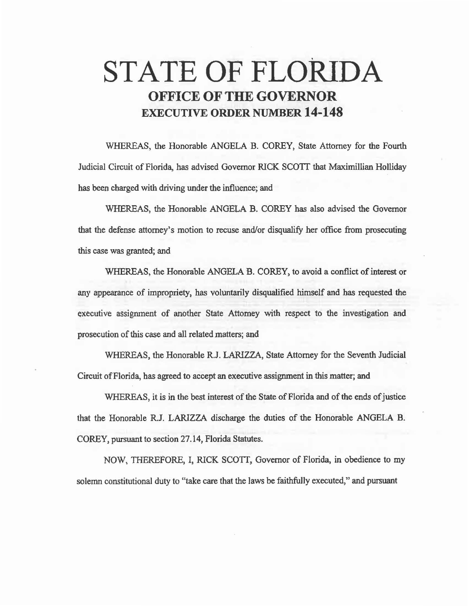# . STATE OF FLORIDA OFFICE OF THE GOVERNOR EXECUTIVE ORDER NUMBER 14-148

WHEREAS, the Honorable ANGELA B. COREY, State Attorney for the Fourth Judicial Circuit of Florida, has advised Governor RICK SCOTI that Maximillian Holliday has been charged with driving under the influence; and

WHEREAS, the Honorable ANGELA B. COREY has also advised the Governor that the defense attorney's motion to recuse and/or disqualify her office from prosecuting this case was granted; and

WHEREAS, the Honorable ANGELA B. COREY, to avoid a conflict of interest or any appearance of impropriety, has voluntarily disqualified himself and has requested the executive assignment of another State Attorney with respect to the investigation and prosecution of this case and all related matters; and

WHEREAS. the Honorable R.J. LARIZZA, State Attorney for the Seventh Judicial Circuit of Florida, has agreed to accept an executive assignment in this matter; and

WHEREAS, it is in the best interest of the State of Florida and of the ends of justice that the Honorable R.J. LARIZZA discharge the duties of the Honorable ANGELA B. COREY, pursuant to section 27.14, Florida Statutes.

NOW, THEREFORE, I, RICK SCOTT, Governor of Florida, in obedience to my solemn constitutional duty to "take care that the laws be faithfully executed," and pursuant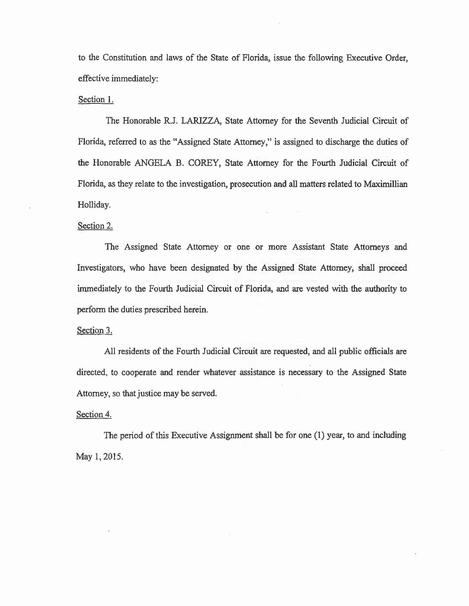to the Constitution and laws of the State of Florida, issue the following Executive Order; effective immediately:

#### Section 1.

The Honorable R.J. LARIZZA, State Attorney for the Seventh Judicial Circuit of Florida, referred to as the "Assigned State Attorney;'' is assigned to discharge the duties of the Honorable ANGELA B. COREY, State Attorney for the Fourth Judicial Circuit of Florida, as they relate to the investigation, prosecution and all matters related to Maximillian Holliday.

### Section 2.

The Assigned State Attorney or one or more Assistant State Attorneys and Investigators, who have been designated by the Assigned State Attorney, shall proceed immediately to the Fourth Judicial Circuit of Florida, and are vested with the authority to perform the duties prescribed herein.

## Section 3.

All residents of the Fourth Judicial Circuit are requested, and all public officials are directed, to cooperate and render whatever assistance is necessary to the Assigned State Attorney, so that justice may be served.

#### Section 4.

The period of this Executive Assignment shall be for one (1) year, to and including May I, 2015.